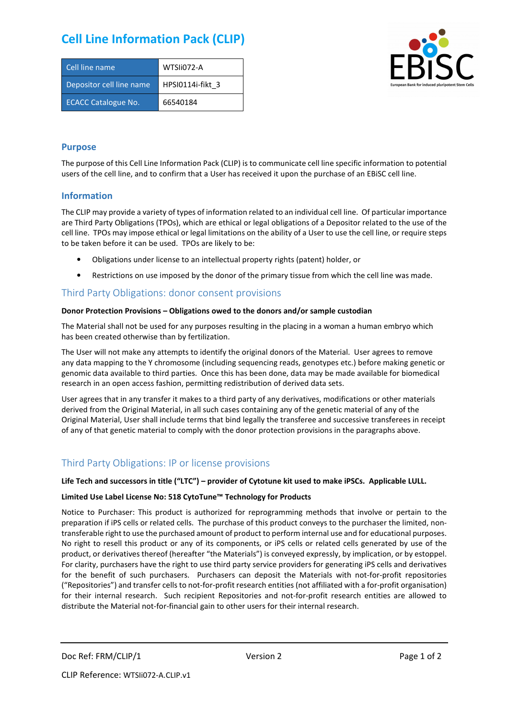# **Cell Line Information Pack (CLIP)**

| Cell line name             | WTSIi072-A       |
|----------------------------|------------------|
| Depositor cell line name   | HPSI0114i-fikt 3 |
| <b>ECACC Catalogue No.</b> | 66540184         |



### **Purpose**

The purpose of this Cell Line Information Pack (CLIP) is to communicate cell line specific information to potential users of the cell line, and to confirm that a User has received it upon the purchase of an EBiSC cell line.

### **Information**

The CLIP may provide a variety of types of information related to an individual cell line. Of particular importance are Third Party Obligations (TPOs), which are ethical or legal obligations of a Depositor related to the use of the cell line. TPOs may impose ethical or legal limitations on the ability of a User to use the cell line, or require steps to be taken before it can be used. TPOs are likely to be:

- Obligations under license to an intellectual property rights (patent) holder, or
- Restrictions on use imposed by the donor of the primary tissue from which the cell line was made.

## Third Party Obligations: donor consent provisions

#### **Donor Protection Provisions – Obligations owed to the donors and/or sample custodian**

The Material shall not be used for any purposes resulting in the placing in a woman a human embryo which has been created otherwise than by fertilization.

The User will not make any attempts to identify the original donors of the Material. User agrees to remove any data mapping to the Y chromosome (including sequencing reads, genotypes etc.) before making genetic or genomic data available to third parties. Once this has been done, data may be made available for biomedical research in an open access fashion, permitting redistribution of derived data sets.

User agrees that in any transfer it makes to a third party of any derivatives, modifications or other materials derived from the Original Material, in all such cases containing any of the genetic material of any of the Original Material, User shall include terms that bind legally the transferee and successive transferees in receipt of any of that genetic material to comply with the donor protection provisions in the paragraphs above.

# Third Party Obligations: IP or license provisions

#### **Life Tech and successors in title ("LTC") – provider of Cytotune kit used to make iPSCs. Applicable LULL.**

#### **Limited Use Label License No: 518 CytoTune™ Technology for Products**

Notice to Purchaser: This product is authorized for reprogramming methods that involve or pertain to the preparation if iPS cells or related cells. The purchase of this product conveys to the purchaser the limited, nontransferable right to use the purchased amount of product to perform internal use and for educational purposes. No right to resell this product or any of its components, or iPS cells or related cells generated by use of the product, or derivatives thereof (hereafter "the Materials") is conveyed expressly, by implication, or by estoppel. For clarity, purchasers have the right to use third party service providers for generating iPS cells and derivatives for the benefit of such purchasers. Purchasers can deposit the Materials with not-for-profit repositories ("Repositories") and transfer cells to not-for-profit research entities (not affiliated with a for-profit organisation) for their internal research. Such recipient Repositories and not-for-profit research entities are allowed to distribute the Material not-for-financial gain to other users for their internal research.

Doc Ref: FRM/CLIP/1 Version 2 Version 2 Page 1 of 2